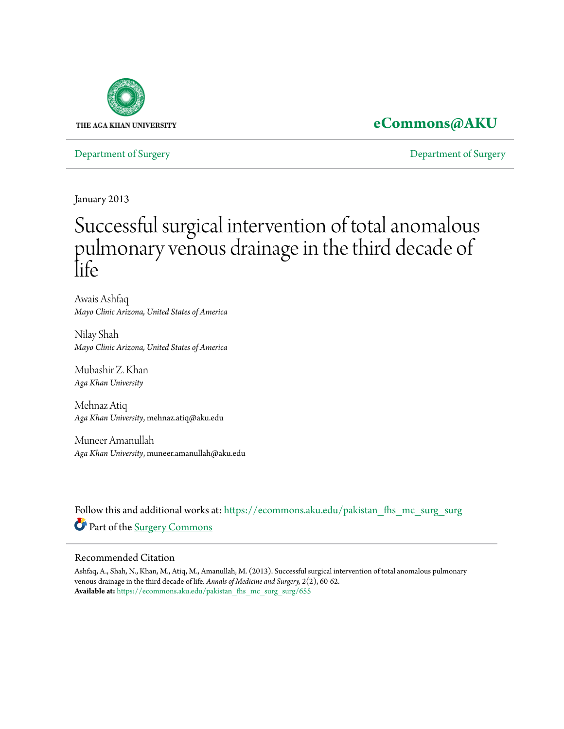

# **[eCommons@AKU](https://ecommons.aku.edu?utm_source=ecommons.aku.edu%2Fpakistan_fhs_mc_surg_surg%2F655&utm_medium=PDF&utm_campaign=PDFCoverPages)**

[Department of Surgery](https://ecommons.aku.edu/pakistan_fhs_mc_surg_surg?utm_source=ecommons.aku.edu%2Fpakistan_fhs_mc_surg_surg%2F655&utm_medium=PDF&utm_campaign=PDFCoverPages) [Department of Surgery](https://ecommons.aku.edu/pakistan_fhs_mc_surg?utm_source=ecommons.aku.edu%2Fpakistan_fhs_mc_surg_surg%2F655&utm_medium=PDF&utm_campaign=PDFCoverPages)

January 2013

# Successful surgical intervention of total anomalous pulmonary venous drainage in the third decade of life

Awais Ashfaq *Mayo Clinic Arizona, United States of America*

Nilay Shah *Mayo Clinic Arizona, United States of America*

Mubashir Z. Khan *Aga Khan University*

Mehnaz Atiq *Aga Khan University*, mehnaz.atiq@aku.edu

Muneer Amanullah *Aga Khan University*, muneer.amanullah@aku.edu

Follow this and additional works at: [https://ecommons.aku.edu/pakistan\\_fhs\\_mc\\_surg\\_surg](https://ecommons.aku.edu/pakistan_fhs_mc_surg_surg?utm_source=ecommons.aku.edu%2Fpakistan_fhs_mc_surg_surg%2F655&utm_medium=PDF&utm_campaign=PDFCoverPages) Part of the [Surgery Commons](http://network.bepress.com/hgg/discipline/706?utm_source=ecommons.aku.edu%2Fpakistan_fhs_mc_surg_surg%2F655&utm_medium=PDF&utm_campaign=PDFCoverPages)

## Recommended Citation

Ashfaq, A., Shah, N., Khan, M., Atiq, M., Amanullah, M. (2013). Successful surgical intervention of total anomalous pulmonary venous drainage in the third decade of life. *Annals of Medicine and Surgery, 2*(2), 60-62. **Available at:** [https://ecommons.aku.edu/pakistan\\_fhs\\_mc\\_surg\\_surg/655](https://ecommons.aku.edu/pakistan_fhs_mc_surg_surg/655)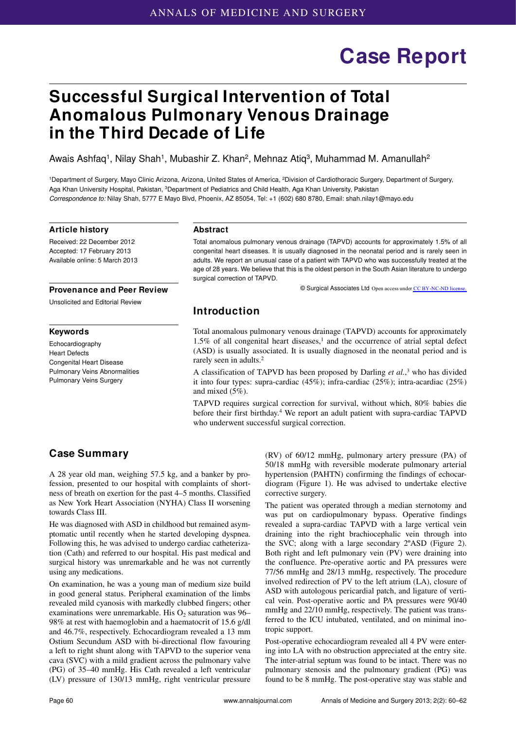# **Case Report**

# **Successful Surgical Intervention of Total Anomalous Pulmonary Venous Drainage in the Third Decade of Life**

Awais Ashfaq<sup>1</sup>, Nilay Shah<sup>1</sup>, Mubashir Z. Khan<sup>2</sup>, Mehnaz Atiq<sup>3</sup>, Muhammad M. Amanullah<sup>2</sup>

1Department of Surgery, Mayo Clinic Arizona, Arizona, United States of America, 2Division of Cardiothoracic Surgery, Department of Surgery, Aga Khan University Hospital, Pakistan, 3Department of Pediatrics and Child Health, Aga Khan University, Pakistan *Correspondence to:* Nilay Shah, 5777 E Mayo Blvd, Phoenix, AZ 85054, Tel: +1 (602) 680 8780, Email: shah.nilay1@mayo.edu

#### **Article history**

Received: 22 December 2012 Accepted: 17 February 2013 Available online: 5 March 2013

#### **Provenance and Peer Review**

Unsolicited and Editorial Review

#### **Keywords**

Echocardiography Heart Defects Congenital Heart Disease Pulmonary Veins Abnormalities Pulmonary Veins Surgery

#### **Abstract**

Total anomalous pulmonary venous drainage (TAPVD) accounts for approximately 1.5% of all congenital heart diseases. It is usually diagnosed in the neonatal period and is rarely seen in adults. We report an unusual case of a patient with TAPVD who was successfully treated at the age of 28 years. We believe that this is the oldest person in the South Asian literature to undergo surgical correction of TAPVD.

© Surgical Associates Ltd Open access under [CC BY-NC-ND license.](http://creativecommons.org/licenses/by-nc-nd/3.0/)

# **Introduction**

Total anomalous pulmonary venous drainage (TAPVD) accounts for approximately  $1.5\%$  of all congenital heart diseases,<sup>1</sup> and the occurrence of atrial septal defect (ASD) is usually associated. It is usually diagnosed in the neonatal period and is rarely seen in adults.<sup>2</sup>

A classification of TAPVD has been proposed by Darling *et al.*, 3 who has divided it into four types: supra-cardiac (45%); infra-cardiac (25%); intra-acardiac (25%) and mixed (5%).

TAPVD requires surgical correction for survival, without which, 80% babies die before their first birthday.<sup>4</sup> We report an adult patient with supra-cardiac TAPVD who underwent successful surgical correction.

# **Case Summary**

A 28 year old man, weighing 57.5 kg, and a banker by profession, presented to our hospital with complaints of shortness of breath on exertion for the past 4–5 months. Classified as New York Heart Association (NYHA) Class II worsening towards Class III.

He was diagnosed with ASD in childhood but remained asymptomatic until recently when he started developing dyspnea. Following this, he was advised to undergo cardiac catheterization (Cath) and referred to our hospital. His past medical and surgical history was unremarkable and he was not currently using any medications.

On examination, he was a young man of medium size build in good general status. Peripheral examination of the limbs revealed mild cyanosis with markedly clubbed fingers; other examinations were unremarkable. His  $O<sub>2</sub>$  saturation was 96– 98% at rest with haemoglobin and a haematocrit of 15.6 g/dl and 46.7%, respectively. Echocardiogram revealed a 13 mm Ostium Secundum ASD with bi-directional flow favouring a left to right shunt along with TAPVD to the superior vena cava (SVC) with a mild gradient across the pulmonary valve (PG) of 35–40 mmHg. His Cath revealed a left ventricular (LV) pressure of 130/13 mmHg, right ventricular pressure (RV) of 60/12 mmHg, pulmonary artery pressure (PA) of 50/18 mmHg with reversible moderate pulmonary arterial hypertension (PAHTN) confirming the findings of echocardiogram (Figure 1). He was advised to undertake elective corrective surgery.

The patient was operated through a median sternotomy and was put on cardiopulmonary bypass. Operative findings re vealed a supra-cardiac TAPVD with a large vertical vein draining into the right brachiocephalic vein through into the SVC; along with a large secondary 2ºASD (Figure 2). Both right and left pulmonary vein (PV) were draining into the confluence. Pre-operative aortic and PA pressures were 77/56 mmHg and 28/13 mmHg, respectively. The procedure involved redirection of PV to the left atrium (LA), closure of ASD with autologous pericardial patch, and ligature of vertical vein. Post-operative aortic and PA pressures were 90/40 mmHg and 22/10 mmHg, respectively. The patient was transferred to the ICU intubated, ventilated, and on minimal inotropic support.

Post-operative echocardiogram revealed all 4 PV were entering into LA with no obstruction appreciated at the entry site. The inter-atrial septum was found to be intact. There was no pulmonary stenosis and the pulmonary gradient (PG) was found to be 8 mmHg. The post-operative stay was stable and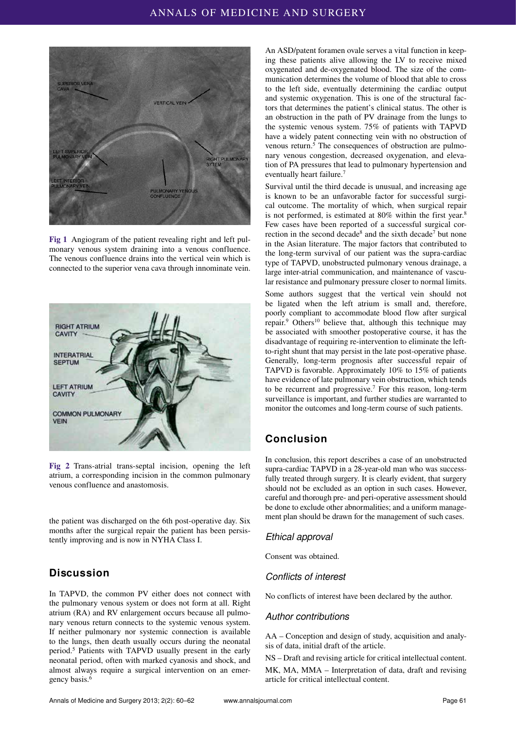

**Fig 1** Angiogram of the patient revealing right and left pulmonary venous system draining into a venous confluence. The venous confluence drains into the vertical vein which is connected to the superior vena cava through innominate vein.



**Fig 2** Trans-atrial trans-septal incision, opening the left atrium, a corresponding incision in the common pulmonary venous confluence and anastomosis.

the patient was discharged on the 6th post-operative day. Six months after the surgical repair the patient has been persistently improving and is now in NYHA Class I.

# **Discussion**

In TAPVD, the common PV either does not connect with the pulmonary venous system or does not form at all. Right atrium (RA) and RV enlargement occurs because all pulmonary venous return connects to the systemic venous system. If neither pulmonary nor systemic connection is available to the lungs, then death usually occurs during the neonatal period.5 Patients with TAPVD usually present in the early neonatal period, often with marked cyanosis and shock, and almost always require a surgical intervention on an emergency basis.6

An ASD/patent foramen ovale serves a vital function in keeping these patients alive allowing the LV to receive mixed oxygenated and de-oxygenated blood. The size of the communication determines the volume of blood that able to cross to the left side, eventually determining the cardiac output and systemic oxygenation. This is one of the structural factors that determines the patient's clinical status. The other is an obstruction in the path of PV drainage from the lungs to the systemic venous system. 75% of patients with TAPVD have a widely patent connecting vein with no obstruction of venous return.<sup>5</sup> The consequences of obstruction are pulmonary venous congestion, decreased oxygenation, and elevation of PA pressures that lead to pulmonary hypertension and eventually heart failure.<sup>7</sup>

Survival until the third decade is unusual, and increasing age is known to be an unfavorable factor for successful surgical outcome. The mortality of which, when surgical repair is not performed, is estimated at 80% within the first year.<sup>8</sup> Few cases have been reported of a successful surgical correction in the second decade<sup>8</sup> and the sixth decade<sup>7</sup> but none in the Asian literature. The major factors that contributed to the long-term survival of our patient was the supra-cardiac type of TAPVD, unobstructed pulmonary venous drainage, a large inter-atrial communication, and maintenance of vascular resistance and pulmonary pressure closer to normal limits.

Some authors suggest that the vertical vein should not be ligated when the left atrium is small and, therefore, poorly compliant to accommodate blood flow after surgical repair.<sup>9</sup> Others<sup>10</sup> believe that, although this technique may be associated with smoother postoperative course, it has the disadvantage of requiring re-intervention to eliminate the leftto-right shunt that may persist in the late post-operative phase. Generally, long-term prognosis after successful repair of TAPVD is favorable. Approximately 10% to 15% of patients have evidence of late pulmonary vein obstruction, which tends to be recurrent and progressive.7 For this reason, long-term surveillance is important, and further studies are warranted to monitor the outcomes and long-term course of such patients.

# **Conclusion**

In conclusion, this report describes a case of an unobstructed supra-cardiac TAPVD in a 28-year-old man who was successfully treated through surgery. It is clearly evident, that surgery should not be excluded as an option in such cases. However, careful and thorough pre- and peri-operative assessment should be done to exclude other abnormalities; and a uniform management plan should be drawn for the management of such cases.

## *Ethical approval*

Consent was obtained.

## *Conflicts of interest*

No conflicts of interest have been declared by the author.

## *Author contributions*

AA – Conception and design of study, acquisition and analysis of data, initial draft of the article.

NS – Draft and revising article for critical intellectual content. MK, MA, MMA – Interpretation of data, draft and revising article for critical intellectual content.